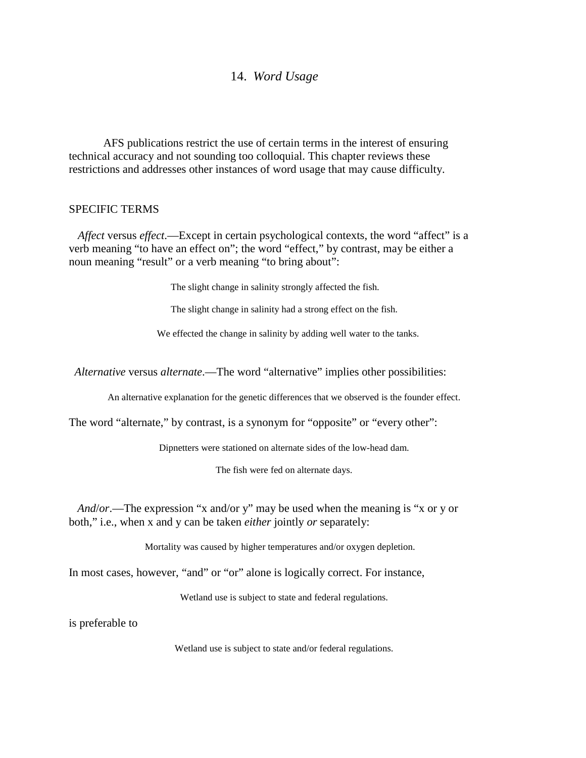# 14. *Word Usage*

AFS publications restrict the use of certain terms in the interest of ensuring technical accuracy and not sounding too colloquial. This chapter reviews these restrictions and addresses other instances of word usage that may cause difficulty.

### SPECIFIC TERMS

*Affect* versus *effect*.—Except in certain psychological contexts, the word "affect" is a verb meaning "to have an effect on"; the word "effect," by contrast, may be either a noun meaning "result" or a verb meaning "to bring about":

The slight change in salinity strongly affected the fish.

The slight change in salinity had a strong effect on the fish.

We effected the change in salinity by adding well water to the tanks.

*Alternative* versus *alternate*.—The word "alternative" implies other possibilities:

An alternative explanation for the genetic differences that we observed is the founder effect.

The word "alternate," by contrast, is a synonym for "opposite" or "every other":

Dipnetters were stationed on alternate sides of the low-head dam.

The fish were fed on alternate days.

*And*/*or*.—The expression "x and/or y" may be used when the meaning is "x or y or both," i.e., when x and y can be taken *either* jointly *or* separately:

Mortality was caused by higher temperatures and/or oxygen depletion.

In most cases, however, "and" or "or" alone is logically correct. For instance,

Wetland use is subject to state and federal regulations.

is preferable to

Wetland use is subject to state and/or federal regulations.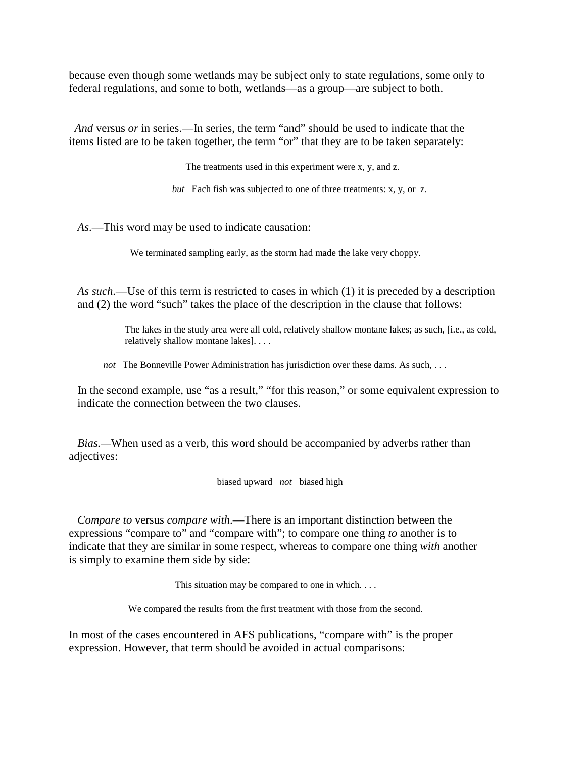because even though some wetlands may be subject only to state regulations, some only to federal regulations, and some to both, wetlands—as a group—are subject to both.

 *And* versus *or* in series.—In series, the term "and" should be used to indicate that the items listed are to be taken together, the term "or" that they are to be taken separately:

The treatments used in this experiment were x, y, and z.

*but* Each fish was subjected to one of three treatments: x, y, or z.

*As*.—This word may be used to indicate causation:

We terminated sampling early, as the storm had made the lake very choppy.

*As such*.—Use of this term is restricted to cases in which (1) it is preceded by a description and (2) the word "such" takes the place of the description in the clause that follows:

> The lakes in the study area were all cold, relatively shallow montane lakes; as such, [i.e., as cold, relatively shallow montane lakes]. . . .

*not* The Bonneville Power Administration has jurisdiction over these dams. As such, ...

In the second example, use "as a result," "for this reason," or some equivalent expression to indicate the connection between the two clauses.

*Bias.—*When used as a verb, this word should be accompanied by adverbs rather than adjectives:

biased upward *not* biased high

*Compare to* versus *compare with*.—There is an important distinction between the expressions "compare to" and "compare with"; to compare one thing *to* another is to indicate that they are similar in some respect, whereas to compare one thing *with* another is simply to examine them side by side:

This situation may be compared to one in which. . . .

We compared the results from the first treatment with those from the second.

In most of the cases encountered in AFS publications, "compare with" is the proper expression. However, that term should be avoided in actual comparisons: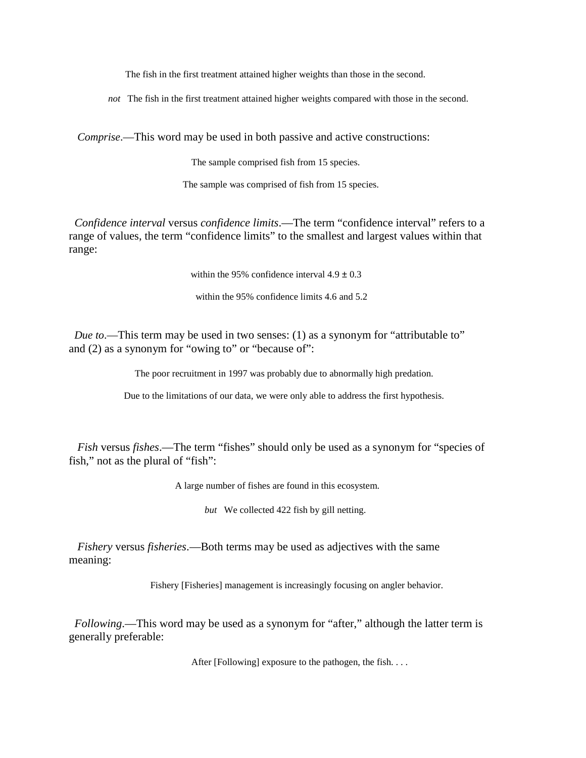The fish in the first treatment attained higher weights than those in the second.

*not* The fish in the first treatment attained higher weights compared with those in the second.

*Comprise*.—This word may be used in both passive and active constructions:

The sample comprised fish from 15 species.

The sample was comprised of fish from 15 species.

*Confidence interval* versus *confidence limits*.—The term "confidence interval" refers to a range of values, the term "confidence limits" to the smallest and largest values within that range:

within the 95% confidence interval  $4.9 \pm 0.3$ 

within the 95% confidence limits 4.6 and 5.2

*Due to*.—This term may be used in two senses: (1) as a synonym for "attributable to" and (2) as a synonym for "owing to" or "because of":

The poor recruitment in 1997 was probably due to abnormally high predation.

Due to the limitations of our data, we were only able to address the first hypothesis.

*Fish* versus *fishes*.—The term "fishes" should only be used as a synonym for "species of fish," not as the plural of "fish":

A large number of fishes are found in this ecosystem.

*but* We collected 422 fish by gill netting.

*Fishery* versus *fisheries*.—Both terms may be used as adjectives with the same meaning:

Fishery [Fisheries] management is increasingly focusing on angler behavior.

 *Following*.—This word may be used as a synonym for "after," although the latter term is generally preferable:

After [Following] exposure to the pathogen, the fish. . . .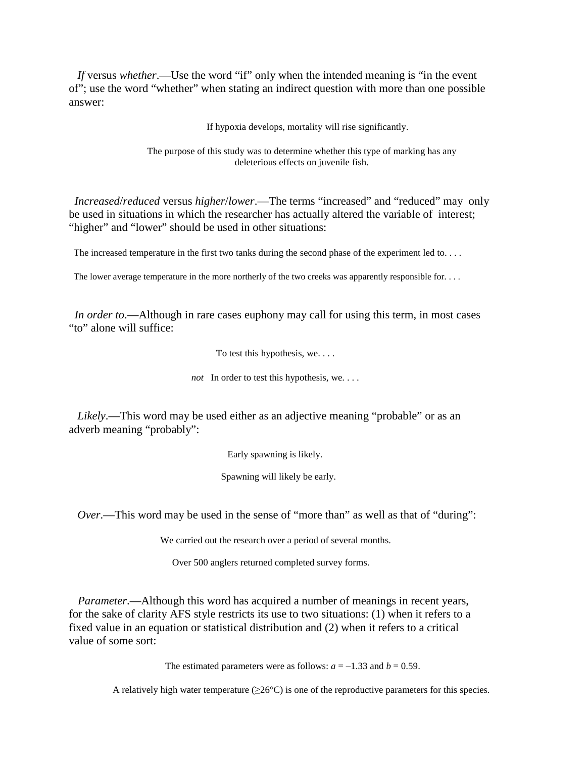*If* versus *whether*.—Use the word "if" only when the intended meaning is "in the event of"; use the word "whether" when stating an indirect question with more than one possible answer:

If hypoxia develops, mortality will rise significantly.

The purpose of this study was to determine whether this type of marking has any deleterious effects on juvenile fish.

*Increased*/*reduced* versus *higher*/*lower*.—The terms "increased" and "reduced" mayonly be used in situations in which the researcher has actually altered the variable of interest; "higher" and "lower" should be used in other situations:

The increased temperature in the first two tanks during the second phase of the experiment led to....

The lower average temperature in the more northerly of the two creeks was apparently responsible for. . . .

*In order to*.—Although in rare cases euphony may call for using this term, in most cases "to" alone will suffice:

To test this hypothesis, we. . . .

*not* In order to test this hypothesis, we....

*Likely*.—This word may be used either as an adjective meaning "probable" or as an adverb meaning "probably":

Early spawning is likely.

Spawning will likely be early.

*Over*.—This word may be used in the sense of "more than" as well as that of "during":

We carried out the research over a period of several months.

Over 500 anglers returned completed survey forms.

*Parameter*.—Although this word has acquired a number of meanings in recent years, for the sake of clarity AFS style restricts its use to two situations: (1) when it refers to a fixed value in an equation or statistical distribution and (2) when it refers to a critical value of some sort:

The estimated parameters were as follows:  $a = -1.33$  and  $b = 0.59$ .

A relatively high water temperature  $(\geq 26^{\circ}C)$  is one of the reproductive parameters for this species.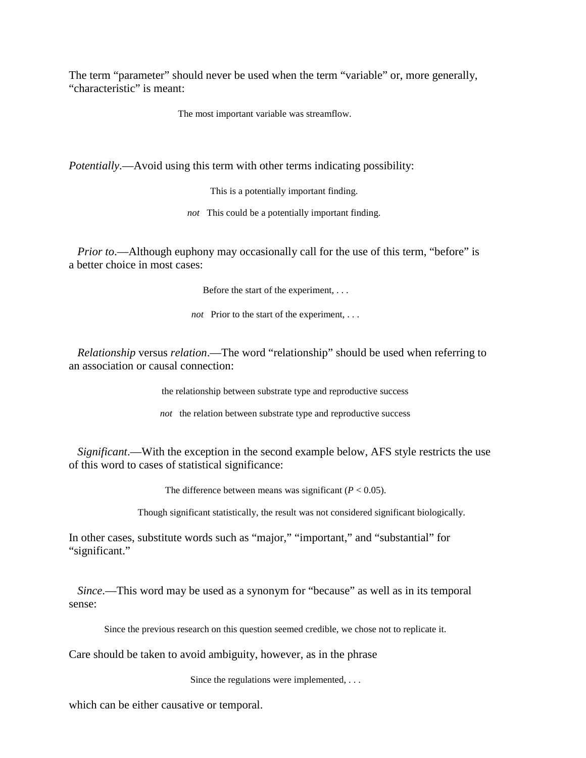The term "parameter" should never be used when the term "variable" or, more generally, "characteristic" is meant:

The most important variable was streamflow.

*Potentially*.—Avoid using this term with other terms indicating possibility:

This is a potentially important finding.

*not* This could be a potentially important finding.

*Prior to*.—Although euphony may occasionally call for the use of this term, "before" is a better choice in most cases:

Before the start of the experiment, . . .

*not* Prior to the start of the experiment, . . .

*Relationship* versus *relation*.—The word "relationship" should be used when referring to an association or causal connection:

the relationship between substrate type and reproductive success

*not* the relation between substrate type and reproductive success

*Significant*.—With the exception in the second example below, AFS style restricts the use of this word to cases of statistical significance:

The difference between means was significant  $(P < 0.05)$ .

Though significant statistically, the result was not considered significant biologically.

In other cases, substitute words such as "major," "important," and "substantial" for "significant."

*Since*.—This word may be used as a synonym for "because" as well as in its temporal sense:

Since the previous research on this question seemed credible, we chose not to replicate it.

Care should be taken to avoid ambiguity, however, as in the phrase

Since the regulations were implemented, ...

which can be either causative or temporal.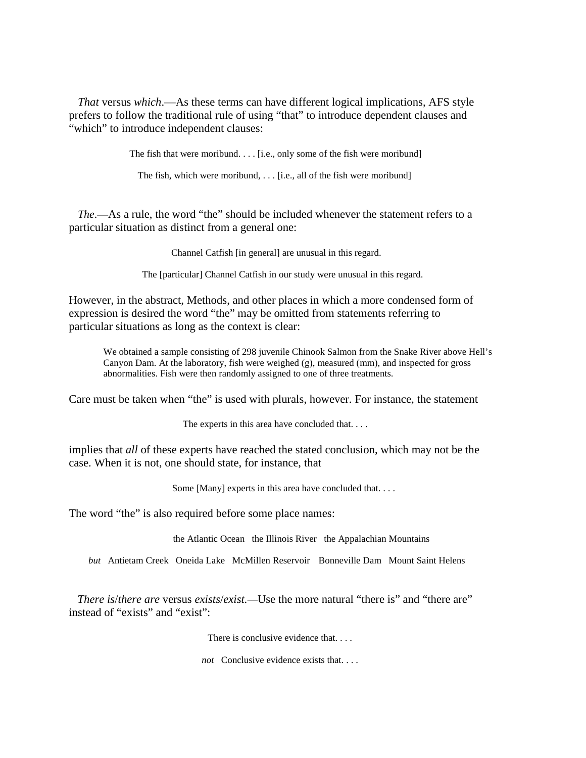*That* versus *which*.—As these terms can have different logical implications, AFS style prefers to follow the traditional rule of using "that" to introduce dependent clauses and "which" to introduce independent clauses:

The fish that were moribund. . . . [i.e., only some of the fish were moribund]

The fish, which were moribund,  $\ldots$  [i.e., all of the fish were moribund]

*The*.—As a rule, the word "the" should be included whenever the statement refers to a particular situation as distinct from a general one:

Channel Catfish [in general] are unusual in this regard.

The [particular] Channel Catfish in our study were unusual in this regard.

However, in the abstract, Methods, and other places in which a more condensed form of expression is desired the word "the" may be omitted from statements referring to particular situations as long as the context is clear:

We obtained a sample consisting of 298 juvenile Chinook Salmon from the Snake River above Hell's Canyon Dam. At the laboratory, fish were weighed (g), measured (mm), and inspected for gross abnormalities. Fish were then randomly assigned to one of three treatments.

Care must be taken when "the" is used with plurals, however. For instance, the statement

The experts in this area have concluded that....

implies that *all* of these experts have reached the stated conclusion, which may not be the case. When it is not, one should state, for instance, that

Some [Many] experts in this area have concluded that. . . .

The word "the" is also required before some place names:

the Atlantic Ocean the Illinois River the Appalachian Mountains

*but* Antietam Creek Oneida Lake McMillen Reservoir Bonneville Dam Mount Saint Helens

*There is*/*there are* versus *exists*/*exist.—*Use the more natural "there is" and "there are" instead of "exists" and "exist":

There is conclusive evidence that...

*not* Conclusive evidence exists that. . . .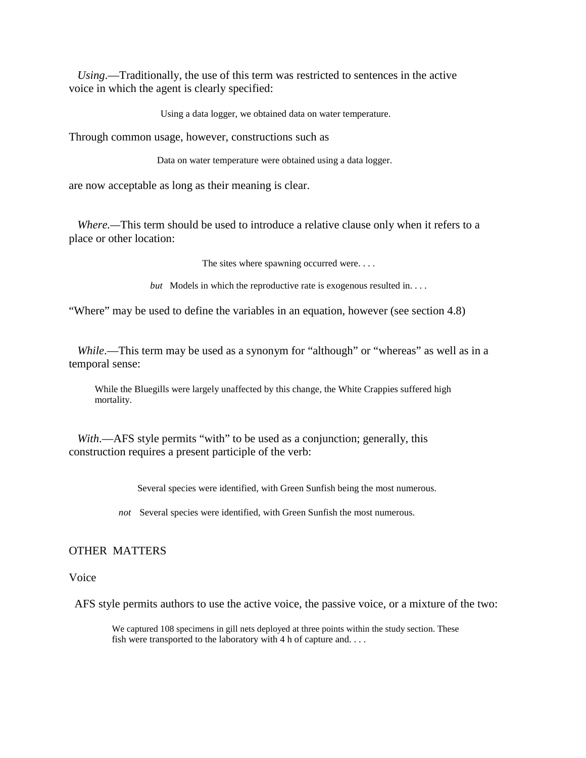*Using*.—Traditionally, the use of this term was restricted to sentences in the active voice in which the agent is clearly specified:

Using a data logger, we obtained data on water temperature.

Through common usage, however, constructions such as

Data on water temperature were obtained using a data logger.

are now acceptable as long as their meaning is clear.

*Where.—*This term should be used to introduce a relative clause only when it refers to a place or other location:

The sites where spawning occurred were. . . .

*but* Models in which the reproductive rate is exogenous resulted in...

"Where" may be used to define the variables in an equation, however (see section 4.8)

*While*.—This term may be used as a synonym for "although" or "whereas" as well as in a temporal sense:

While the Bluegills were largely unaffected by this change, the White Crappies suffered high mortality.

*With*.—AFS style permits "with" to be used as a conjunction; generally, this construction requires a present participle of the verb:

Several species were identified, with Green Sunfish being the most numerous.

*not* Several species were identified, with Green Sunfish the most numerous.

## OTHER MATTERS

### Voice

AFS style permits authors to use the active voice, the passive voice, or a mixture of the two:

We captured 108 specimens in gill nets deployed at three points within the study section. These fish were transported to the laboratory with 4 h of capture and....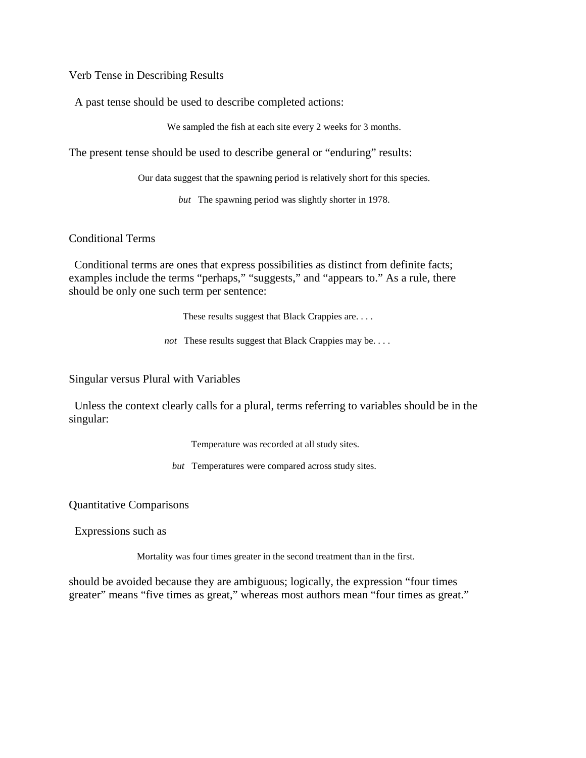Verb Tense in Describing Results

A past tense should be used to describe completed actions:

We sampled the fish at each site every 2 weeks for 3 months.

The present tense should be used to describe general or "enduring" results:

Our data suggest that the spawning period is relatively short for this species.

*but* The spawning period was slightly shorter in 1978.

### Conditional Terms

Conditional terms are ones that express possibilities as distinct from definite facts; examples include the terms "perhaps," "suggests," and "appears to." As a rule, there should be only one such term per sentence:

These results suggest that Black Crappies are. . . .

*not* These results suggest that Black Crappies may be. . . .

Singular versus Plural with Variables

Unless the context clearly calls for a plural, terms referring to variables should be in the singular:

Temperature was recorded at all study sites.

*but* Temperatures were compared across study sites.

Quantitative Comparisons

Expressions such as

Mortality was four times greater in the second treatment than in the first.

should be avoided because they are ambiguous; logically, the expression "four times greater" means "five times as great," whereas most authors mean "four times as great."